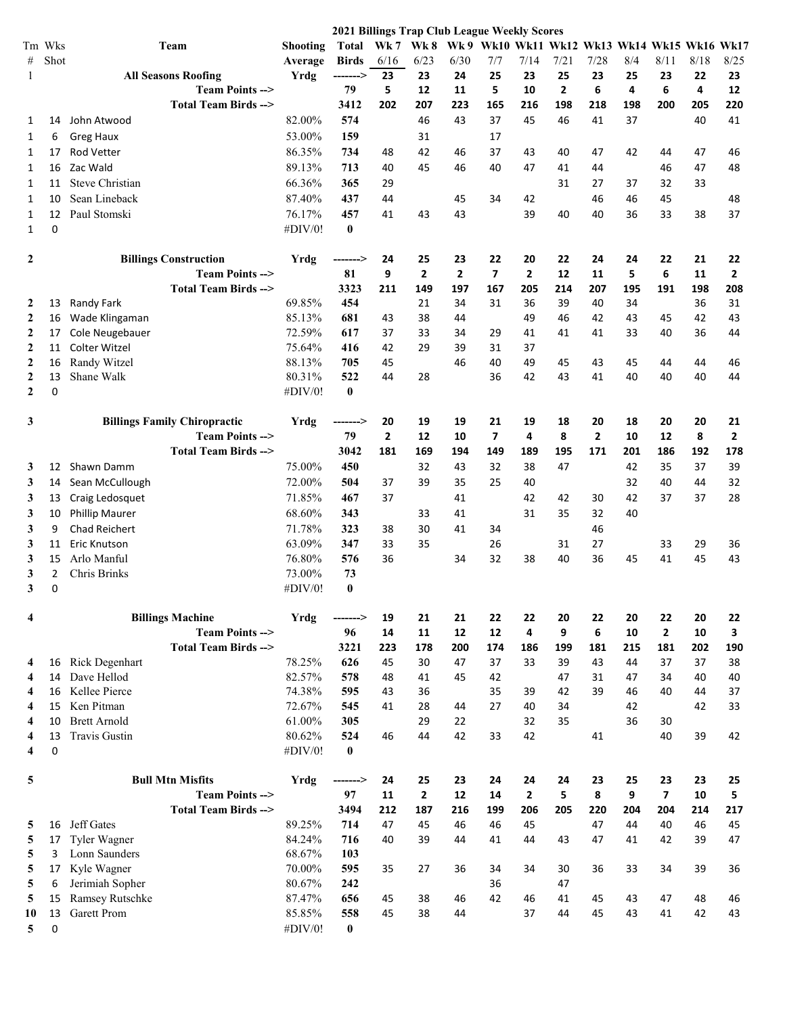|                         |                               |                                     |                   | 2021 Billings Trap Club League Weekly Scores |              |                |                |                                              |                |              |                |     |                          |      |              |
|-------------------------|-------------------------------|-------------------------------------|-------------------|----------------------------------------------|--------------|----------------|----------------|----------------------------------------------|----------------|--------------|----------------|-----|--------------------------|------|--------------|
|                         | Tm Wks                        | Team                                | Shooting          | Total                                        | Wk 7 Wk 8    |                |                | Wk 9 Wk10 Wk11 Wk12 Wk13 Wk14 Wk15 Wk16 Wk17 |                |              |                |     |                          |      |              |
| #                       | Shot                          |                                     | Average           | <b>Birds</b>                                 | 6/16         | 6/23           | 6/30           | 7/7                                          | 7/14           | 7/21         | 7/28           | 8/4 | 8/11                     | 8/18 | 8/25         |
| -1                      |                               | <b>All Seasons Roofing</b>          | Yrdg              | -------->                                    | 23           | 23             | 24             | 25                                           | 23             | 25           | 23             | 25  | 23                       | 22   | 23           |
|                         |                               | <b>Team Points --&gt;</b>           |                   | 79                                           | 5            | 12             | 11             | 5                                            | 10             | $\mathbf{2}$ | 6              | 4   | 6                        | 4    | 12           |
|                         |                               | <b>Total Team Birds --&gt;</b>      |                   | 3412                                         | 202          | 207            | 223            | 165                                          | 216            | 198          | 218            | 198 | 200                      | 205  | 220          |
| 1                       | 14                            | John Atwood                         | 82.00%            | 574                                          |              | 46             | 43             | 37                                           | 45             | 46           | 41             | 37  |                          | 40   | 41           |
| 1                       | 6                             | <b>Greg Haux</b>                    | 53.00%            | 159                                          |              | 31             |                | 17                                           |                |              |                |     |                          |      |              |
| 1                       | 17                            | <b>Rod Vetter</b>                   | 86.35%            | 734                                          | 48           | 42             | 46             | 37                                           | 43             | 40           | 47             | 42  | 44                       | 47   | 46           |
| 1                       | 16                            | Zac Wald                            | 89.13%            | 713                                          | 40           | 45             | 46             | 40                                           | 47             | 41           | 44             |     | 46                       | 47   | 48           |
| 1                       | 11                            | <b>Steve Christian</b>              | 66.36%            | 365                                          | 29           |                |                |                                              |                | 31           | 27             | 37  | 32                       | 33   |              |
| 1                       | 10                            | Sean Lineback                       | 87.40%            | 437                                          | 44           |                | 45             | 34                                           | 42             |              | 46             | 46  | 45                       |      | 48           |
| 1                       | 12                            | Paul Stomski                        | 76.17%            | 457                                          | 41           | 43             | 43             |                                              | 39             | 40           | 40             | 36  | 33                       | 38   | 37           |
| 1                       | 0                             |                                     | #DIV/0!           | $\bf{0}$                                     |              |                |                |                                              |                |              |                |     |                          |      |              |
| 2                       |                               | <b>Billings Construction</b>        | Yrdg              | -------->                                    | 24           | 25             | 23             | 22                                           | 20             | 22           | 24             | 24  | 22                       | 21   | 22           |
|                         |                               | <b>Team Points --&gt;</b>           |                   | 81                                           | 9            | $\overline{2}$ | $\overline{2}$ | $\overline{7}$                               | $\overline{2}$ | 12           | 11             | 5   | 6                        | 11   | $\mathbf{2}$ |
|                         |                               | Total Team Birds -->                |                   | 3323                                         | 211          | 149            | 197            | 167                                          | 205            | 214          | 207            | 195 | 191                      | 198  | 208          |
| 2                       | 13                            | Randy Fark                          | 69.85%            | 454                                          |              | 21             | 34             | 31                                           | 36             | 39           | 40             | 34  |                          | 36   | 31           |
| 2                       | 16                            | Wade Klingaman                      | 85.13%            | 681                                          | 43           | 38             | 44             |                                              | 49             | 46           | 42             | 43  | 45                       | 42   | 43           |
| $\boldsymbol{2}$        | 17                            | Cole Neugebauer                     | 72.59%            | 617                                          | 37           | 33             | 34             | 29                                           | 41             | 41           | 41             | 33  | 40                       | 36   | 44           |
| $\boldsymbol{2}$        | 11                            | <b>Colter Witzel</b>                | 75.64%            | 416                                          | 42           | 29             | 39             | 31                                           | 37             |              |                |     |                          |      |              |
| $\boldsymbol{2}$        | 16                            | Randy Witzel                        | 88.13%            | 705                                          | 45           |                | 46             | 40                                           | 49             | 45           | 43             | 45  | 44                       | 44   | 46           |
| $\boldsymbol{2}$        | 13                            | Shane Walk                          | 80.31%            | 522                                          | 44           | 28             |                | 36                                           | 42             | 43           | 41             | 40  | 40                       | 40   | 44           |
| $\mathbf{2}$            | 0                             |                                     | #DIV/0!           | $\bf{0}$                                     |              |                |                |                                              |                |              |                |     |                          |      |              |
| 3                       |                               | <b>Billings Family Chiropractic</b> | Yrdg              | -------->                                    | 20           | 19             | 19             | 21                                           | 19             | 18           | 20             | 18  | 20                       | 20   | 21           |
|                         |                               | <b>Team Points --&gt;</b>           |                   | 79                                           | $\mathbf{2}$ | 12             | 10             | $\overline{\mathbf{z}}$                      | 4              | 8            | $\overline{2}$ | 10  | 12                       | 8    | 2            |
|                         |                               | Total Team Birds -->                |                   | 3042                                         | 181          | 169            | 194            | 149                                          | 189            | 195          | 171            | 201 | 186                      | 192  | 178          |
| 3                       | 12                            | Shawn Damm                          | 75.00%            | 450                                          |              | 32             | 43             | 32                                           | 38             | 47           |                | 42  | 35                       | 37   | 39           |
| 3                       | 14                            | Sean McCullough                     | 72.00%            | 504                                          | 37           | 39             | 35             | 25                                           | 40             |              |                | 32  | 40                       | 44   | 32           |
| 3                       | 13                            | Craig Ledosquet                     | 71.85%            | 467                                          | 37           |                | 41             |                                              | 42             | 42           | 30             | 42  | 37                       | 37   | 28           |
| 3                       | 10                            | <b>Phillip Maurer</b>               | 68.60%            | 343                                          |              | 33             | 41             |                                              | 31             | 35           | 32             | 40  |                          |      |              |
| 3                       | 9                             | <b>Chad Reichert</b>                | 71.78%            | 323                                          | 38           | 30             | 41             | 34                                           |                |              | 46             |     |                          |      |              |
| 3                       | 11                            | <b>Eric Knutson</b>                 | 63.09%            | 347                                          | 33           | 35             |                | 26                                           |                | 31           | 27             |     | 33                       | 29   | 36           |
| 3                       | 15                            | Arlo Manful                         | 76.80%            | 576                                          | 36           |                | 34             | 32                                           | 38             | 40           | 36             | 45  | 41                       | 45   | 43           |
| 3                       | $\overline{2}$<br>$\mathbf 0$ | Chris Brinks                        | 73.00%<br>#DIV/0! | 73<br>$\bf{0}$                               |              |                |                |                                              |                |              |                |     |                          |      |              |
| 3                       |                               |                                     |                   |                                              |              |                |                |                                              |                |              |                |     |                          |      |              |
| $\overline{\mathbf{4}}$ |                               | <b>Billings Machine</b>             | Yrdg              | -------->                                    | 19           | 21             | 21             | 22                                           | 22             | 20           | 22             | 20  | 22                       | 20   | 22           |
|                         |                               | <b>Team Points --&gt;</b>           |                   | 96                                           | 14           | 11             | 12             | 12                                           | 4              | 9            | 6              | 10  | $\mathbf{z}$             | 10   | 3            |
|                         |                               | <b>Total Team Birds --&gt;</b>      |                   | 3221                                         | 223          | 178            | 200            | 174                                          | 186            | 199          | 181            | 215 | 181                      | 202  | 190          |
| 4                       | 16                            | <b>Rick Degenhart</b>               | 78.25%            | 626                                          | 45           | 30             | 47             | 37                                           | 33             | 39           | 43             | 44  | 37                       | 37   | 38           |
| 4                       | 14                            | Dave Hellod                         | 82.57%            | 578                                          | 48           | 41             | 45             | 42                                           |                | 47           | 31             | 47  | 34                       | 40   | 40           |
| 4                       | 16                            | Kellee Pierce                       | 74.38%            | 595                                          | 43           | 36             |                | 35                                           | 39             | 42           | 39             | 46  | 40                       | 44   | 37           |
| 4                       | 15                            | Ken Pitman                          | 72.67%            | 545                                          | 41           | 28             | 44             | 27                                           | 40             | 34           |                | 42  |                          | 42   | 33           |
| $\overline{4}$          | 10                            | <b>Brett Arnold</b>                 | 61.00%            | 305                                          |              | 29             | 22             |                                              | 32             | 35           |                | 36  | 30                       |      |              |
| 4<br>4                  | 13<br>0                       | <b>Travis Gustin</b>                | 80.62%<br>#DIV/0! | 524<br>$\bf{0}$                              | 46           | 44             | 42             | 33                                           | 42             |              | 41             |     | 40                       | 39   | 42           |
|                         |                               |                                     |                   |                                              |              |                |                |                                              |                |              |                |     |                          |      |              |
| 5                       |                               | <b>Bull Mtn Misfits</b>             | Yrdg              | -------->                                    | 24           | 25             | 23             | 24                                           | 24             | 24           | 23             | 25  | 23                       | 23   | 25           |
|                         |                               | <b>Team Points --&gt;</b>           |                   | 97                                           | 11           | $\mathbf{2}$   | 12             | 14                                           | $\overline{2}$ | 5            | 8              | 9   | $\overline{\phantom{a}}$ | 10   | 5            |
|                         |                               | Total Team Birds -->                |                   | 3494                                         | 212          | 187            | 216            | 199                                          | 206            | 205          | 220            | 204 | 204                      | 214  | 217          |
| 5                       | 16                            | Jeff Gates                          | 89.25%            | 714                                          | 47           | 45             | 46             | 46                                           | 45             |              | 47             | 44  | 40                       | 46   | 45           |
| 5                       | 17                            | Tyler Wagner                        | 84.24%            | 716                                          | 40           | 39             | 44             | 41                                           | 44             | 43           | 47             | 41  | 42                       | 39   | 47           |
| 5                       | 3                             | Lonn Saunders                       | 68.67%            | 103                                          |              |                |                |                                              |                |              |                |     |                          |      |              |
| 5                       | 17                            | Kyle Wagner                         | 70.00%            | 595                                          | 35           | 27             | 36             | 34                                           | 34             | 30           | 36             | 33  | 34                       | 39   | 36           |
| 5                       | 6                             | Jerimiah Sopher                     | 80.67%            | 242                                          |              |                |                | 36                                           |                | 47           |                |     |                          |      |              |
| 5                       | 15                            | Ramsey Rutschke                     | 87.47%            | 656                                          | 45           | 38             | 46             | 42                                           | 46             | 41           | 45             | 43  | 47                       | 48   | 46           |
| 10                      | 13                            | Garett Prom                         | 85.85%            | 558                                          | 45           | 38             | 44             |                                              | 37             | 44           | 45             | 43  | 41                       | 42   | 43           |
| 5                       | 0                             |                                     | #DIV/0!           | $\bf{0}$                                     |              |                |                |                                              |                |              |                |     |                          |      |              |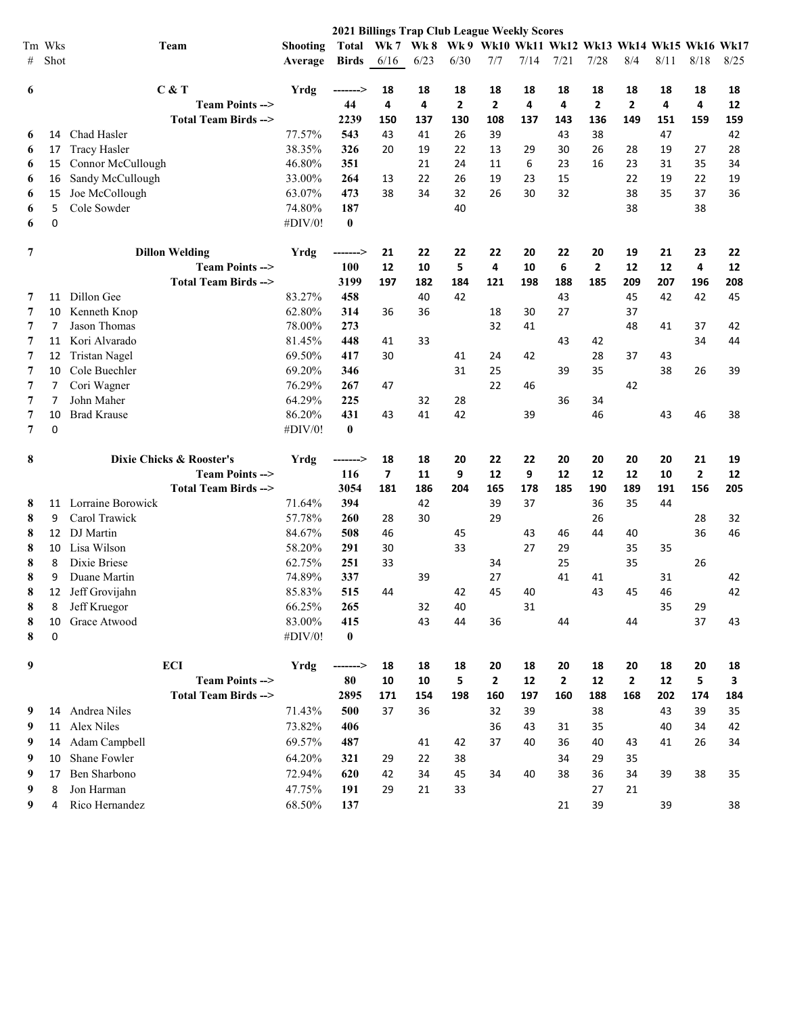|   |        |                                |                 | 2021 Billings Trap Club League Weekly Scores |      |      |                                                        |              |      |              |              |                |      |                |      |
|---|--------|--------------------------------|-----------------|----------------------------------------------|------|------|--------------------------------------------------------|--------------|------|--------------|--------------|----------------|------|----------------|------|
|   | Tm Wks | Team                           | <b>Shooting</b> | Total                                        |      |      | Wk 7 Wk 8 Wk 9 Wk10 Wk11 Wk12 Wk13 Wk14 Wk15 Wk16 Wk17 |              |      |              |              |                |      |                |      |
| # | Shot   |                                | Average         | <b>Birds</b>                                 | 6/16 | 6/23 | 6/30                                                   | 7/7          | 7/14 | 7/21         | 7/28         | 8/4            | 8/11 | 8/18           | 8/25 |
|   |        |                                |                 |                                              |      |      |                                                        |              |      |              |              |                |      |                |      |
| 6 |        | C & T                          | Yrdg            | -------->                                    | 18   | 18   | 18                                                     | 18           | 18   | 18           | 18           | 18             | 18   | 18             | 18   |
|   |        | <b>Team Points --&gt;</b>      |                 | 44                                           | 4    | 4    | 2                                                      | $\mathbf{2}$ | 4    | 4            | $\mathbf{2}$ | $\overline{2}$ | 4    | 4              | 12   |
|   |        | <b>Total Team Birds --&gt;</b> |                 | 2239                                         | 150  | 137  | 130                                                    | 108          | 137  | 143          | 136          | 149            | 151  | 159            | 159  |
| 6 | 14     | Chad Hasler                    | 77.57%          | 543                                          | 43   | 41   | 26                                                     | 39           |      | 43           | 38           |                | 47   |                | 42   |
| 6 | 17     | <b>Tracy Hasler</b>            | 38.35%          | 326                                          | 20   | 19   | 22                                                     | 13           | 29   | 30           | 26           | 28             | 19   | 27             | 28   |
| 6 | 15     | Connor McCullough              | 46.80%          | 351                                          |      | 21   | 24                                                     | 11           | 6    | 23           | 16           | 23             | 31   | 35             | 34   |
| 6 | 16     | Sandy McCullough               | 33.00%          | 264                                          | 13   | 22   | 26                                                     | 19           | 23   | 15           |              | 22             | 19   | 22             | 19   |
| 6 | 15     | Joe McCollough                 | 63.07%          | 473                                          | 38   | 34   | 32                                                     | 26           | 30   | 32           |              | 38             | 35   | 37             | 36   |
| 6 | 5      | Cole Sowder                    | 74.80%          | 187                                          |      |      | 40                                                     |              |      |              |              | 38             |      | 38             |      |
| 6 | 0      |                                | #DIV/0!         | $\bf{0}$                                     |      |      |                                                        |              |      |              |              |                |      |                |      |
| 7 |        | <b>Dillon Welding</b>          | Yrdg            | -------->                                    | 21   | 22   | 22                                                     | 22           | 20   | 22           | 20           | 19             | 21   | 23             | 22   |
|   |        | <b>Team Points --&gt;</b>      |                 | 100                                          | 12   | 10   | 5                                                      | 4            | 10   | 6            | 2            | 12             | 12   | 4              | 12   |
|   |        | <b>Total Team Birds --&gt;</b> |                 | 3199                                         | 197  | 182  | 184                                                    | 121          | 198  | 188          | 185          | 209            | 207  | 196            | 208  |
| 7 | 11     | Dillon Gee                     | 83.27%          | 458                                          |      | 40   | 42                                                     |              |      | 43           |              | 45             | 42   | 42             | 45   |
| 7 | 10     | Kenneth Knop                   | 62.80%          | 314                                          | 36   | 36   |                                                        | 18           | 30   | 27           |              | 37             |      |                |      |
| 7 | 7      | Jason Thomas                   | 78.00%          | 273                                          |      |      |                                                        | 32           | 41   |              |              | 48             | 41   | 37             | 42   |
| 7 | 11     | Kori Alvarado                  | 81.45%          | 448                                          | 41   | 33   |                                                        |              |      | 43           | 42           |                |      | 34             | 44   |
| 7 | 12     | Tristan Nagel                  | 69.50%          | 417                                          | 30   |      | 41                                                     | 24           | 42   |              | 28           | 37             | 43   |                |      |
| 7 | 10     | Cole Buechler                  | 69.20%          | 346                                          |      |      | 31                                                     | 25           |      | 39           | 35           |                | 38   | 26             | 39   |
| 7 | 7      | Cori Wagner                    | 76.29%          | 267                                          | 47   |      |                                                        | 22           | 46   |              |              | 42             |      |                |      |
| 7 | 7      | John Maher                     | 64.29%          | 225                                          |      | 32   | 28                                                     |              |      | 36           | 34           |                |      |                |      |
| 7 | 10     | <b>Brad Krause</b>             | 86.20%          | 431                                          | 43   | 41   | 42                                                     |              | 39   |              | 46           |                | 43   | 46             | 38   |
| 7 | 0      |                                | #DIV/0!         | $\bf{0}$                                     |      |      |                                                        |              |      |              |              |                |      |                |      |
| 8 |        | Dixie Chicks & Rooster's       | Yrdg            | -------->                                    | 18   | 18   | 20                                                     | 22           | 22   | 20           | 20           | 20             | 20   | 21             | 19   |
|   |        | <b>Team Points --&gt;</b>      |                 | 116                                          | 7    | 11   | 9                                                      | 12           | 9    | 12           | 12           | 12             | 10   | $\overline{2}$ | 12   |
|   |        | Total Team Birds -->           |                 | 3054                                         | 181  | 186  | 204                                                    | 165          | 178  | 185          | 190          | 189            | 191  | 156            | 205  |
| 8 | 11     | Lorraine Borowick              | 71.64%          | 394                                          |      | 42   |                                                        | 39           | 37   |              | 36           | 35             | 44   |                |      |
| 8 | 9      | Carol Trawick                  | 57.78%          | 260                                          | 28   | 30   |                                                        | 29           |      |              | 26           |                |      | 28             | 32   |
| 8 | 12     | DJ Martin                      | 84.67%          | 508                                          | 46   |      | 45                                                     |              | 43   | 46           | 44           | 40             |      | 36             | 46   |
| 8 | 10     | Lisa Wilson                    | 58.20%          | 291                                          | 30   |      | 33                                                     |              | 27   | 29           |              | 35             | 35   |                |      |
| 8 | 8      | Dixie Briese                   | 62.75%          | 251                                          | 33   |      |                                                        | 34           |      | 25           |              | 35             |      | 26             |      |
| 8 | 9      | Duane Martin                   | 74.89%          | 337                                          |      | 39   |                                                        | 27           |      | 41           | 41           |                | 31   |                | 42   |
| 8 |        | 12 Jeff Grovijahn              | 85.83%          | 515                                          | 44   |      | 42                                                     | 45           | 40   |              | 43           | 45             | 46   |                | 42   |
| 8 | 8      | Jeff Kruegor                   | 66.25%          | 265                                          |      | 32   | 40                                                     |              | 31   |              |              |                | 35   | 29             |      |
| 8 | 10     | Grace Atwood                   | 83.00%          | 415                                          |      | 43   | 44                                                     | 36           |      | 44           |              | 44             |      | 37             | 43   |
| 8 | 0      |                                | #DIV/0!         | $\mathbf{0}$                                 |      |      |                                                        |              |      |              |              |                |      |                |      |
| 9 |        | <b>ECI</b>                     | Yrdg            | -------->                                    | 18   | 18   | 18                                                     | 20           | 18   | 20           | 18           | 20             | 18   | 20             | 18   |
|   |        | <b>Team Points --&gt;</b>      |                 | 80                                           | 10   | 10   | 5                                                      | $\mathbf{2}$ | 12   | $\mathbf{2}$ | 12           | $\mathbf{2}$   | 12   | 5              | 3    |
|   |        | <b>Total Team Birds --&gt;</b> |                 | 2895                                         | 171  | 154  | 198                                                    | 160          | 197  | 160          | 188          | 168            | 202  | 174            | 184  |
| 9 |        | 14 Andrea Niles                | 71.43%          | 500                                          | 37   | 36   |                                                        | 32           | 39   |              | 38           |                | 43   | 39             | 35   |
| 9 |        | 11 Alex Niles                  | 73.82%          | 406                                          |      |      |                                                        | 36           | 43   | 31           | 35           |                | 40   | 34             | 42   |
| 9 | 14     | Adam Campbell                  | 69.57%          | 487                                          |      | 41   | 42                                                     | 37           | 40   | 36           | 40           | 43             | 41   | 26             | 34   |
| 9 | 10     | Shane Fowler                   | 64.20%          | 321                                          | 29   | 22   | 38                                                     |              |      | 34           | 29           | 35             |      |                |      |
| 9 | 17     | Ben Sharbono                   | 72.94%          | 620                                          | 42   | 34   | 45                                                     | 34           | 40   | 38           | 36           | 34             | 39   | 38             | 35   |
| 9 | 8      | Jon Harman                     | 47.75%          | 191                                          | 29   | 21   | 33                                                     |              |      |              | 27           | 21             |      |                |      |
|   |        | Rico Hernandez                 | 68.50%          |                                              |      |      |                                                        |              |      |              | 39           |                |      |                |      |
| 9 | 4      |                                |                 | 137                                          |      |      |                                                        |              |      | 21           |              |                | 39   |                | 38   |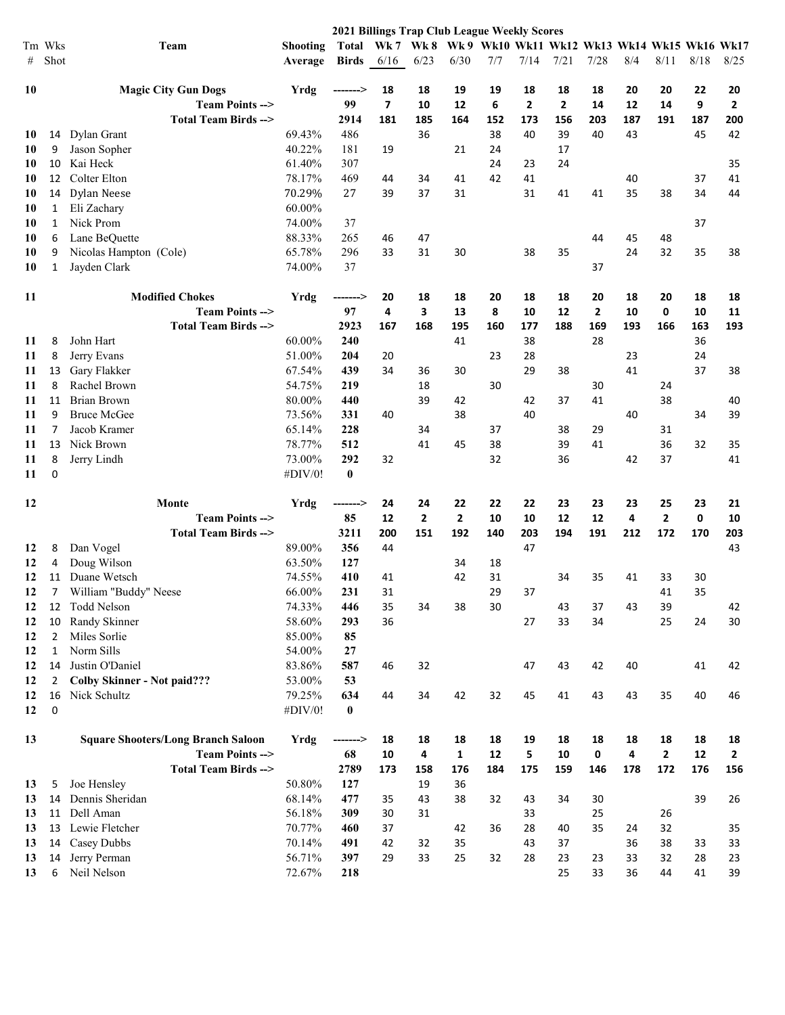|    |                |                                           |                 | <b>2021 Billings Trap Club League Weekly Scores</b> |                                                        |                |                |     |                |                |                |     |                |      |              |
|----|----------------|-------------------------------------------|-----------------|-----------------------------------------------------|--------------------------------------------------------|----------------|----------------|-----|----------------|----------------|----------------|-----|----------------|------|--------------|
|    | Tm Wks         | Team                                      | <b>Shooting</b> | Total                                               | Wk 7 Wk 8 Wk 9 Wk10 Wk11 Wk12 Wk13 Wk14 Wk15 Wk16 Wk17 |                |                |     |                |                |                |     |                |      |              |
| #  | Shot           |                                           | Average         | <b>Birds</b>                                        | 6/16                                                   | 6/23           | 6/30           | 7/7 | 7/14           | 7/21           | 7/28           | 8/4 | 8/11           | 8/18 | 8/25         |
| 10 |                | <b>Magic City Gun Dogs</b>                | <b>Yrdg</b>     | -------->                                           | 18                                                     | 18             | 19             | 19  | 18             | 18             | 18             | 20  | 20             | 22   | 20           |
|    |                | Team Points -->                           |                 | 99                                                  | $\overline{7}$                                         | 10             | 12             | 6   | $\overline{2}$ | $\overline{2}$ | 14             | 12  | 14             | 9    | $\mathbf{2}$ |
|    |                | <b>Total Team Birds --&gt;</b>            |                 | 2914                                                | 181                                                    | 185            | 164            | 152 | 173            | 156            | 203            | 187 | 191            | 187  | 200          |
| 10 | 14             | Dylan Grant                               | 69.43%          | 486                                                 |                                                        | 36             |                | 38  | 40             | 39             | 40             | 43  |                | 45   | 42           |
| 10 | 9              | Jason Sopher                              | 40.22%          | 181                                                 | 19                                                     |                | 21             | 24  |                | 17             |                |     |                |      |              |
| 10 | 10             | Kai Heck                                  | 61.40%          | 307                                                 |                                                        |                |                | 24  | 23             | 24             |                |     |                |      | 35           |
| 10 | 12             | Colter Elton                              | 78.17%          | 469                                                 | 44                                                     | 34             | 41             | 42  | 41             |                |                | 40  |                | 37   | 41           |
| 10 | 14             | Dylan Neese                               | 70.29%          | 27                                                  | 39                                                     | 37             | 31             |     | 31             | 41             | 41             | 35  | 38             | 34   | 44           |
| 10 | 1              | Eli Zachary                               | 60.00%          |                                                     |                                                        |                |                |     |                |                |                |     |                |      |              |
| 10 | 1              | Nick Prom                                 | 74.00%          | 37                                                  |                                                        |                |                |     |                |                |                |     |                | 37   |              |
| 10 | 6              | Lane BeQuette                             | 88.33%          | 265                                                 | 46                                                     | 47             |                |     |                |                | 44             | 45  | 48             |      |              |
| 10 | 9              | Nicolas Hampton (Cole)                    | 65.78%          | 296                                                 | 33                                                     | 31             | 30             |     | 38             | 35             |                | 24  | 32             | 35   | 38           |
| 10 | 1              | Jayden Clark                              | 74.00%          | 37                                                  |                                                        |                |                |     |                |                | 37             |     |                |      |              |
| 11 |                | <b>Modified Chokes</b>                    | Yrdg            | ------->                                            | 20                                                     | 18             | 18             | 20  | 18             | 18             | 20             | 18  | 20             | 18   | 18           |
|    |                | <b>Team Points --&gt;</b>                 |                 | 97                                                  | 4                                                      | 3              | 13             | 8   | 10             | 12             | $\overline{2}$ | 10  | 0              | 10   | 11           |
|    |                | Total Team Birds -->                      |                 | 2923                                                | 167                                                    | 168            | 195            | 160 | 177            | 188            | 169            | 193 | 166            | 163  | 193          |
| 11 | 8              | John Hart                                 | 60.00%          | 240                                                 |                                                        |                | 41             |     | 38             |                | 28             |     |                | 36   |              |
| 11 | 8              | Jerry Evans                               | 51.00%          | 204                                                 | 20                                                     |                |                | 23  | 28             |                |                | 23  |                | 24   |              |
| 11 | 13             | Gary Flakker                              | 67.54%          | 439                                                 | 34                                                     | 36             | 30             |     | 29             | 38             |                | 41  |                | 37   | 38           |
| 11 | 8              | Rachel Brown                              | 54.75%          | 219                                                 |                                                        | 18             |                | 30  |                |                | 30             |     | 24             |      |              |
| 11 | 11             | Brian Brown                               | 80.00%          | 440                                                 |                                                        | 39             | 42             |     | 42             | 37             | 41             |     | 38             |      | 40           |
| 11 | 9              | <b>Bruce McGee</b>                        | 73.56%          | 331                                                 | 40                                                     |                | 38             |     | 40             |                |                | 40  |                | 34   | 39           |
| 11 | 7              | Jacob Kramer                              | 65.14%          | 228                                                 |                                                        | 34             |                | 37  |                | 38             | 29             |     | 31             |      |              |
| 11 | 13             | Nick Brown                                | 78.77%          | 512                                                 |                                                        | 41             | 45             | 38  |                | 39             | 41             |     | 36             | 32   | 35           |
| 11 | 8              | Jerry Lindh                               | 73.00%          | 292                                                 | 32                                                     |                |                | 32  |                | 36             |                | 42  | 37             |      | 41           |
| 11 | 0              |                                           | #DIV/0!         | $\bf{0}$                                            |                                                        |                |                |     |                |                |                |     |                |      |              |
| 12 |                | Monte                                     | Yrdg            | -------->                                           | 24                                                     | 24             | 22             | 22  | 22             | 23             | 23             | 23  | 25             | 23   | 21           |
|    |                | Team Points -->                           |                 | 85                                                  | 12                                                     | $\overline{2}$ | $\overline{2}$ | 10  | 10             | 12             | 12             | 4   | $\overline{2}$ | 0    | 10           |
|    |                | Total Team Birds -->                      |                 | 3211                                                | 200                                                    | 151            | 192            | 140 | 203            | 194            | 191            | 212 | 172            | 170  | 203          |
| 12 | 8              | Dan Vogel                                 | 89.00%          | 356                                                 | 44                                                     |                |                |     | 47             |                |                |     |                |      | 43           |
| 12 | 4              | Doug Wilson                               | 63.50%          | 127                                                 |                                                        |                | 34             | 18  |                |                |                |     |                |      |              |
| 12 | 11             | Duane Wetsch                              | 74.55%          | 410                                                 | 41                                                     |                | 42             | 31  |                | 34             | 35             | 41  | 33             | 30   |              |
| 12 | 7              | William "Buddy" Neese                     | 66.00%          | 231                                                 | 31                                                     |                |                | 29  | 37             |                |                |     | 41             | 35   |              |
| 12 | 12             | Todd Nelson                               | 74.33%          | 446                                                 | 35                                                     | 34             | 38             | 30  |                | 43             | 37             | 43  | 39             |      | 42           |
| 12 | 10             | Randy Skinner                             | 58.60%          | 293                                                 | 36                                                     |                |                |     | 27             | 33             | 34             |     | 25             | 24   | 30           |
| 12 | 2              | Miles Sorlie                              | 85.00%          | 85                                                  |                                                        |                |                |     |                |                |                |     |                |      |              |
| 12 | 1              | Norm Sills                                | 54.00%          | 27                                                  |                                                        |                |                |     |                |                |                |     |                |      |              |
| 12 | 14             | Justin O'Daniel                           | 83.86%          | 587                                                 | 46                                                     | 32             |                |     | 47             | 43             | 42             | 40  |                | 41   | 42           |
| 12 | $\overline{2}$ | <b>Colby Skinner - Not paid???</b>        | 53.00%          | 53                                                  |                                                        |                |                |     |                |                |                |     |                |      |              |
| 12 | 16             | Nick Schultz                              | 79.25%          | 634                                                 | 44                                                     | 34             | 42             | 32  | 45             | 41             | 43             | 43  | 35             | 40   | 46           |
| 12 | 0              |                                           | #DIV/0!         | $\bf{0}$                                            |                                                        |                |                |     |                |                |                |     |                |      |              |
| 13 |                | <b>Square Shooters/Long Branch Saloon</b> | Yrdg            | -------->                                           | 18                                                     | 18             | 18             | 18  | 19             | 18             | 18             | 18  | 18             | 18   | 18           |
|    |                | <b>Team Points --&gt;</b>                 |                 | 68                                                  | 10                                                     | 4              | $\mathbf{1}$   | 12  | 5              | 10             | 0              | 4   | 2              | 12   | $\mathbf{2}$ |
|    |                | <b>Total Team Birds --&gt;</b>            |                 | 2789                                                | 173                                                    | 158            | 176            | 184 | 175            | 159            | 146            | 178 | 172            | 176  | 156          |
| 13 | 5              | Joe Hensley                               | 50.80%          | 127                                                 |                                                        | 19             | 36             |     |                |                |                |     |                |      |              |
| 13 | 14             | Dennis Sheridan                           | 68.14%          | 477                                                 | 35                                                     | 43             | 38             | 32  | 43             | 34             | 30             |     |                | 39   | 26           |
| 13 | 11             | Dell Aman                                 | 56.18%          | 309                                                 | 30                                                     | 31             |                |     | 33             |                | 25             |     | 26             |      |              |
| 13 | 13             | Lewie Fletcher                            | 70.77%          | 460                                                 | 37                                                     |                | 42             | 36  | 28             | 40             | 35             | 24  | 32             |      | 35           |
| 13 | 14             | Casey Dubbs                               | 70.14%          | 491                                                 | 42                                                     | 32             | 35             |     | 43             | 37             |                | 36  | 38             | 33   | 33           |
| 13 | 14             | Jerry Perman                              | 56.71%          | 397                                                 | 29                                                     | 33             | 25             | 32  | 28             | 23             | 23             | 33  | 32             | 28   | 23           |
| 13 | 6              | Neil Nelson                               | 72.67%          | 218                                                 |                                                        |                |                |     |                | 25             | 33             | 36  | 44             | 41   | 39           |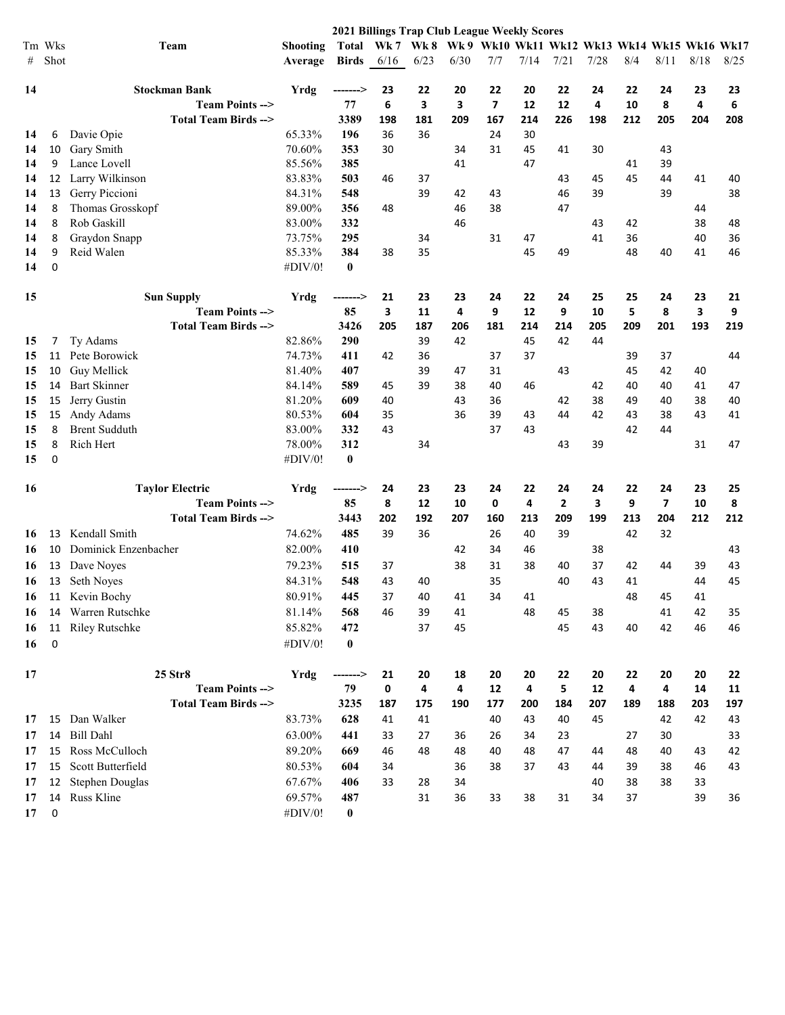|    |         |                                                |                  | <b>2021 Billings Trap Club League Weekly Scores</b> |         |           |         |                                             |          |              |          |         |                         |         |         |
|----|---------|------------------------------------------------|------------------|-----------------------------------------------------|---------|-----------|---------|---------------------------------------------|----------|--------------|----------|---------|-------------------------|---------|---------|
|    | Tm Wks  | Team                                           | <b>Shooting</b>  | <b>Total</b>                                        |         | Wk 7 Wk 8 |         | Wk9 Wk10 Wk11 Wk12 Wk13 Wk14 Wk15 Wk16 Wk17 |          |              |          |         |                         |         |         |
| #  | Shot    |                                                | Average          | <b>Birds</b>                                        | 6/16    | 6/23      | 6/30    | 7/7                                         | 7/14     | 7/21         | 7/28     | 8/4     | 8/11                    | 8/18    | 8/25    |
|    |         |                                                |                  |                                                     |         |           |         |                                             |          |              |          |         |                         |         |         |
| 14 |         | <b>Stockman Bank</b>                           | Yrdg             | -------->                                           | 23      | 22        | 20      | 22                                          | 20       | 22           | 24       | 22      | 24                      | 23      | 23      |
|    |         | Team Points -->                                |                  | 77                                                  | 6       | 3         | 3       | $\overline{7}$                              | 12       | 12           | 4        | 10      | 8                       | 4       | 6       |
|    |         | Total Team Birds -->                           |                  | 3389                                                | 198     | 181       | 209     | 167                                         | 214      | 226          | 198      | 212     | 205                     | 204     | 208     |
| 14 | 6       | Davie Opie                                     | 65.33%           | 196                                                 | 36      | 36        |         | 24                                          | 30       |              |          |         |                         |         |         |
| 14 | 10      | Gary Smith                                     | 70.60%           | 353                                                 | 30      |           | 34      | 31                                          | 45       | 41           | 30       |         | 43                      |         |         |
| 14 | 9       | Lance Lovell                                   | 85.56%           | 385                                                 |         |           | 41      |                                             | 47       |              |          | 41      | 39                      |         |         |
| 14 | 12      | Larry Wilkinson                                | 83.83%           | 503                                                 | 46      | 37        |         |                                             |          | 43           | 45       | 45      | 44                      | 41      | 40      |
| 14 | 13      | Gerry Piccioni                                 | 84.31%           | 548                                                 |         | 39        | 42      | 43                                          |          | 46           | 39       |         | 39                      |         | 38      |
| 14 | 8       | Thomas Grosskopf                               | 89.00%           | 356                                                 | 48      |           | 46      | 38                                          |          | 47           |          |         |                         | 44      |         |
| 14 | 8       | Rob Gaskill                                    | 83.00%           | 332                                                 |         |           | 46      |                                             |          |              | 43       | 42      |                         | 38      | 48      |
| 14 | 8       | Graydon Snapp                                  | 73.75%           | 295                                                 |         | 34        |         | 31                                          | 47       |              | 41       | 36      |                         | 40      | 36      |
| 14 | 9       | Reid Walen                                     | 85.33%           | 384                                                 | 38      | 35        |         |                                             | 45       | 49           |          | 48      | 40                      | 41      | 46      |
| 14 | 0       |                                                | #DIV/0!          | $\bf{0}$                                            |         |           |         |                                             |          |              |          |         |                         |         |         |
|    |         |                                                |                  |                                                     |         |           |         |                                             |          |              |          |         |                         |         |         |
| 15 |         | <b>Sun Supply</b><br><b>Team Points --&gt;</b> | Yrdg             | -------->                                           | 21<br>3 | 23        | 23<br>4 | 24<br>9                                     | 22<br>12 | 24<br>9      | 25<br>10 | 25<br>5 | 24<br>8                 | 23<br>3 | 21<br>9 |
|    |         | Total Team Birds -->                           |                  | 85<br>3426                                          | 205     | 11        |         | 181                                         |          |              |          | 209     | 201                     | 193     | 219     |
|    |         |                                                |                  |                                                     |         | 187       | 206     |                                             | 214      | 214          | 205      |         |                         |         |         |
| 15 | 7<br>11 | Ty Adams<br>Pete Borowick                      | 82.86%<br>74.73% | 290<br>411                                          |         | 39<br>36  | 42      |                                             | 45<br>37 | 42           | 44       |         |                         |         |         |
| 15 |         |                                                |                  |                                                     | 42      |           |         | 37                                          |          |              |          | 39      | 37                      |         | 44      |
| 15 | 10      | Guy Mellick                                    | 81.40%           | 407                                                 |         | 39        | 47      | 31                                          |          | 43           |          | 45      | 42                      | 40      |         |
| 15 | 14      | <b>Bart Skinner</b>                            | 84.14%           | 589                                                 | 45      | 39        | 38      | 40                                          | 46       |              | 42       | 40      | 40                      | 41      | 47      |
| 15 | 15      | Jerry Gustin                                   | 81.20%           | 609                                                 | 40      |           | 43      | 36                                          |          | 42           | 38       | 49      | 40                      | 38      | 40      |
| 15 | 15      | Andy Adams                                     | 80.53%           | 604                                                 | 35      |           | 36      | 39                                          | 43       | 44           | 42       | 43      | 38                      | 43      | 41      |
| 15 | 8       | <b>Brent Sudduth</b>                           | 83.00%           | 332                                                 | 43      |           |         | 37                                          | 43       |              |          | 42      | 44                      |         |         |
| 15 | 8       | Rich Hert                                      | 78.00%           | 312                                                 |         | 34        |         |                                             |          | 43           | 39       |         |                         | 31      | 47      |
| 15 | 0       |                                                | #DIV/0!          | $\bf{0}$                                            |         |           |         |                                             |          |              |          |         |                         |         |         |
| 16 |         | <b>Taylor Electric</b>                         | Yrdg             | -------->                                           | 24      | 23        | 23      | 24                                          | 22       | 24           | 24       | 22      | 24                      | 23      | 25      |
|    |         | <b>Team Points --&gt;</b>                      |                  | 85                                                  | 8       | 12        | 10      | 0                                           | 4        | $\mathbf{2}$ | 3        | 9       | $\overline{\mathbf{z}}$ | 10      | 8       |
|    |         | Total Team Birds -->                           |                  | 3443                                                | 202     | 192       | 207     | 160                                         | 213      | 209          | 199      | 213     | 204                     | 212     | 212     |
| 16 | 13      | Kendall Smith                                  | 74.62%           | 485                                                 | 39      | 36        |         | 26                                          | 40       | 39           |          | 42      | 32                      |         |         |
| 16 | 10      | Dominick Enzenbacher                           | 82.00%           | 410                                                 |         |           | 42      | 34                                          | 46       |              | 38       |         |                         |         | 43      |
| 16 | 13      | Dave Noyes                                     | 79.23%           | 515                                                 | 37      |           | 38      | 31                                          | 38       | 40           | 37       | 42      | 44                      | 39      | 43      |
| 16 | 13      | Seth Noyes                                     | 84.31%           | 548                                                 | 43      | 40        |         | 35                                          |          | 40           | 43       | 41      |                         | 44      | 45      |
| 16 | 11      | Kevin Bochy                                    | 80.91%           | 445                                                 | 37      | 40        | 41      | 34                                          | 41       |              |          | 48      | 45                      | 41      |         |
| 16 | 14      | Warren Rutschke                                | 81.14%           | 568                                                 | 46      | 39        | 41      |                                             | 48       | 45           | 38       |         | 41                      | 42      | 35      |
| 16 | 11      | Riley Rutschke                                 | 85.82%           | 472                                                 |         | 37        | 45      |                                             |          | 45           | 43       | 40      | 42                      | 46      | 46      |
|    | 0       |                                                |                  |                                                     |         |           |         |                                             |          |              |          |         |                         |         |         |
| 16 |         |                                                | #DIV/0!          | $\boldsymbol{0}$                                    |         |           |         |                                             |          |              |          |         |                         |         |         |
| 17 |         | 25 Str8                                        | Yrdg             | ------->                                            | 21      | 20        | 18      | 20                                          | 20       | 22           | 20       | 22      | 20                      | 20      | 22      |
|    |         | <b>Team Points --&gt;</b>                      |                  | 79                                                  | 0       | 4         | 4       | 12                                          | 4        | 5            | 12       | 4       | 4                       | 14      | 11      |
|    |         | <b>Total Team Birds --&gt;</b>                 |                  | 3235                                                | 187     | 175       | 190     | 177                                         | 200      | 184          | 207      | 189     | 188                     | 203     | 197     |
| 17 | 15      | Dan Walker                                     | 83.73%           | 628                                                 | 41      | 41        |         | 40                                          | 43       | 40           | 45       |         | 42                      | 42      | 43      |
| 17 | 14      | <b>Bill Dahl</b>                               | 63.00%           | 441                                                 | 33      | 27        | 36      | 26                                          | 34       | 23           |          | 27      | 30                      |         | 33      |
| 17 | 15      | Ross McCulloch                                 | 89.20%           | 669                                                 | 46      | 48        | 48      | 40                                          | 48       | 47           | 44       | 48      | 40                      | 43      | 42      |
| 17 | 15      | Scott Butterfield                              | 80.53%           | 604                                                 | 34      |           | 36      | 38                                          | 37       | 43           | 44       | 39      | 38                      | 46      | 43      |
| 17 | 12      | Stephen Douglas                                | 67.67%           | 406                                                 | 33      | 28        | 34      |                                             |          |              | 40       | 38      | 38                      | 33      |         |
| 17 | 14      | Russ Kline                                     | 69.57%           | 487                                                 |         | 31        | 36      | 33                                          | 38       | 31           | 34       | 37      |                         | 39      | 36      |
| 17 | 0       |                                                | #DIV/0!          | $\bf{0}$                                            |         |           |         |                                             |          |              |          |         |                         |         |         |
|    |         |                                                |                  |                                                     |         |           |         |                                             |          |              |          |         |                         |         |         |